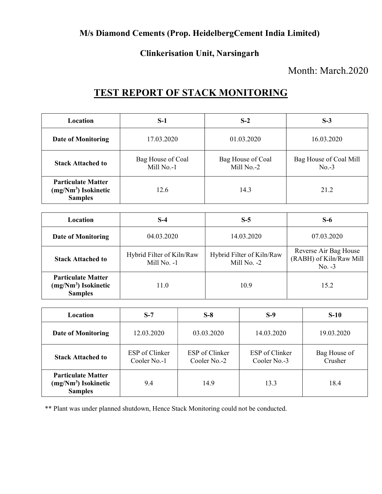### M/s Diamond Cements (Prop. HeidelbergCement India Limited)

#### Clinkerisation Unit, Narsingarh

### Month: March.2020

## TEST REPORT OF STACK MONITORING

| <b>Location</b>                                                      | $S-1$                           | $S-2$                           | $S-3$                             |
|----------------------------------------------------------------------|---------------------------------|---------------------------------|-----------------------------------|
| <b>Date of Monitoring</b>                                            | 17.03.2020                      | 01.03.2020                      | 16.03.2020                        |
| <b>Stack Attached to</b>                                             | Bag House of Coal<br>Mill No.-1 | Bag House of Coal<br>Mill No.-2 | Bag House of Coal Mill<br>$No.-3$ |
| <b>Particulate Matter</b><br>$(mg/Nm3)$ Isokinetic<br><b>Samples</b> | 12.6                            | 14.3                            | 21.2                              |

| <b>Location</b>                                                      | S-4                                      | $S-5$                                    | $S-6$                                                        |
|----------------------------------------------------------------------|------------------------------------------|------------------------------------------|--------------------------------------------------------------|
| <b>Date of Monitoring</b>                                            | 04.03.2020                               | 14.03.2020                               | 07.03.2020                                                   |
| <b>Stack Attached to</b>                                             | Hybrid Filter of Kiln/Raw<br>Mill No. -1 | Hybrid Filter of Kiln/Raw<br>Mill No. -2 | Reverse Air Bag House<br>(RABH) of Kiln/Raw Mill<br>$No. -3$ |
| <b>Particulate Matter</b><br>$(mg/Nm3)$ Isokinetic<br><b>Samples</b> | 11.0                                     | 10.9                                     | 15.2                                                         |

| <b>Location</b>                                                      | $S-7$                          | $S-8$                                 | $S-9$                          | $S-10$                  |
|----------------------------------------------------------------------|--------------------------------|---------------------------------------|--------------------------------|-------------------------|
| <b>Date of Monitoring</b>                                            | 12.03.2020                     | 03.03.2020                            | 14.03.2020                     | 19.03.2020              |
| <b>Stack Attached to</b>                                             | ESP of Clinker<br>Cooler No.-1 | <b>ESP</b> of Clinker<br>Cooler No.-2 | ESP of Clinker<br>Cooler No.-3 | Bag House of<br>Crusher |
| <b>Particulate Matter</b><br>$(mg/Nm3)$ Isokinetic<br><b>Samples</b> | 9.4                            | 14.9                                  | 13.3                           | 18.4                    |

\*\* Plant was under planned shutdown, Hence Stack Monitoring could not be conducted.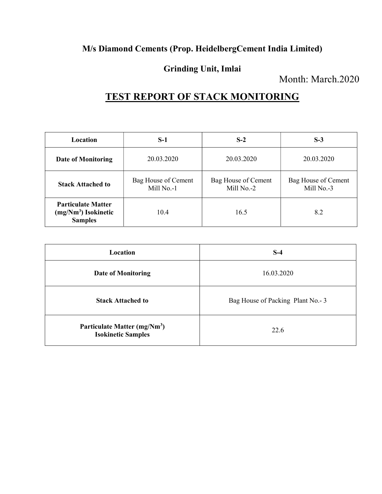### M/s Diamond Cements (Prop. HeidelbergCement India Limited)

### Grinding Unit, Imlai

Month: March.2020

# TEST REPORT OF STACK MONITORING

| Location                                                             | $S-1$                             | $S-2$                             | $S-3$                             |
|----------------------------------------------------------------------|-----------------------------------|-----------------------------------|-----------------------------------|
| <b>Date of Monitoring</b>                                            | 20.03.2020                        | 20.03.2020                        | 20.03.2020                        |
| <b>Stack Attached to</b>                                             | Bag House of Cement<br>Mill No.-1 | Bag House of Cement<br>Mill No.-2 | Bag House of Cement<br>Mill No.-3 |
| <b>Particulate Matter</b><br>$(mg/Nm3)$ Isokinetic<br><b>Samples</b> | 10.4                              | 16.5                              | 8.2                               |

| Location                                                              | $S-4$                              |
|-----------------------------------------------------------------------|------------------------------------|
| <b>Date of Monitoring</b>                                             | 16.03.2020                         |
| <b>Stack Attached to</b>                                              | Bag House of Packing Plant No. - 3 |
| Particulate Matter (mg/Nm <sup>3</sup> )<br><b>Isokinetic Samples</b> | 22.6                               |